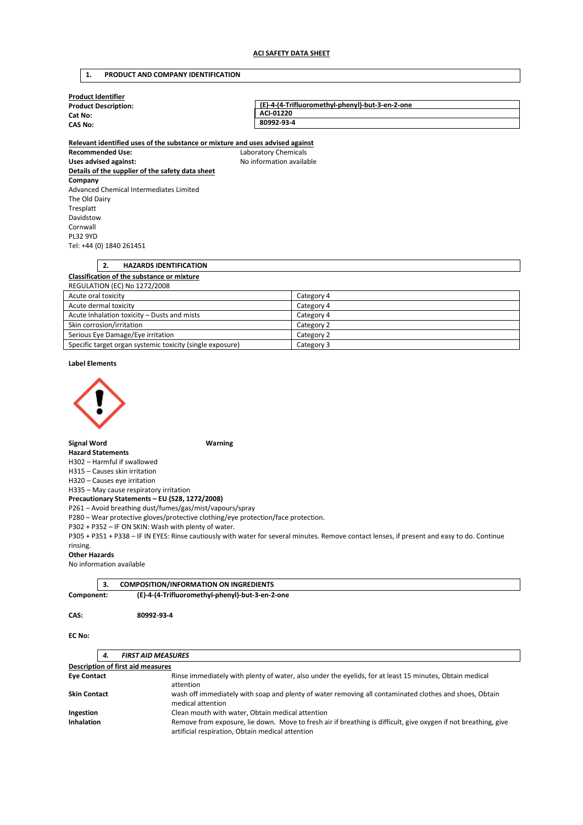# **1. PRODUCT AND COMPANY IDENTIFICATION**

| <b>Product Identifier</b>   |                                                 |
|-----------------------------|-------------------------------------------------|
| <b>Product Description:</b> | (E)-4-(4-Trifluoromethyl-phenyl)-but-3-en-2-one |
| Cat No:                     | ACI-01220                                       |
| <b>CAS No:</b>              | 80992-93-4                                      |
|                             |                                                 |

**Relevant identified uses of the substance or mixture and uses advised against Recommended Use:** Laboratory Chemicals Uses advised against: **No information available Details of the supplier of the safety data sheet Company**  Advanced Chemical Intermediates Limited The Old Dairy Tresplatt Davidstow Cornwall PL32 9YD Tel: +44 (0) 1840 261451

|   | <b>HAZARDS IDENTIFICATION</b>                     |   |  |
|---|---------------------------------------------------|---|--|
|   | <b>Classification of the substance or mixture</b> |   |  |
|   | REGULATION (EC) No 1272/2008                      |   |  |
| . |                                                   | . |  |

| Acute oral toxicity                                       | Category 4 |
|-----------------------------------------------------------|------------|
| Acute dermal toxicity                                     | Category 4 |
| Acute Inhalation toxicity - Dusts and mists               | Category 4 |
| Skin corrosion/irritation                                 | Category 2 |
| Serious Eye Damage/Eye irritation                         | Category 2 |
| Specific target organ systemic toxicity (single exposure) | Category 3 |

**Label Elements** 



**Signal Word Warning** 

## **Hazard Statements**

H302 – Harmful if swallowed

H315 – Causes skin irritation

H320 – Causes eye irritation

H335 – May cause respiratory irritation

**Precautionary Statements – EU (S28, 1272/2008)** 

P261 – Avoid breathing dust/fumes/gas/mist/vapours/spray

P280 – Wear protective gloves/protective clothing/eye protection/face protection.

P302 + P352 – IF ON SKIN: Wash with plenty of water.

P305 + P351 + P338 – IF IN EYES: Rinse cautiously with water for several minutes. Remove contact lenses, if present and easy to do. Continue rinsing.

### **Other Hazards**

No information available

|            | <b>COMPOSITION/INFORMATION ON INGREDIENTS</b>   |
|------------|-------------------------------------------------|
| Component: | (E)-4-(4-Trifluoromethyl-phenyl)-but-3-en-2-one |

**CAS: 80992-93-4** 

**EC No:** 

# *4. FIRST AID MEASURES*

| Description of first aid measures |                                                                                                                                                                     |
|-----------------------------------|---------------------------------------------------------------------------------------------------------------------------------------------------------------------|
| <b>Eye Contact</b>                | Rinse immediately with plenty of water, also under the eyelids, for at least 15 minutes, Obtain medical                                                             |
|                                   | attention                                                                                                                                                           |
| <b>Skin Contact</b>               | wash off immediately with soap and plenty of water removing all contaminated clothes and shoes, Obtain<br>medical attention                                         |
| Ingestion                         | Clean mouth with water, Obtain medical attention                                                                                                                    |
|                                   |                                                                                                                                                                     |
| <b>Inhalation</b>                 | Remove from exposure, lie down. Move to fresh air if breathing is difficult, give oxygen if not breathing, give<br>artificial respiration, Obtain medical attention |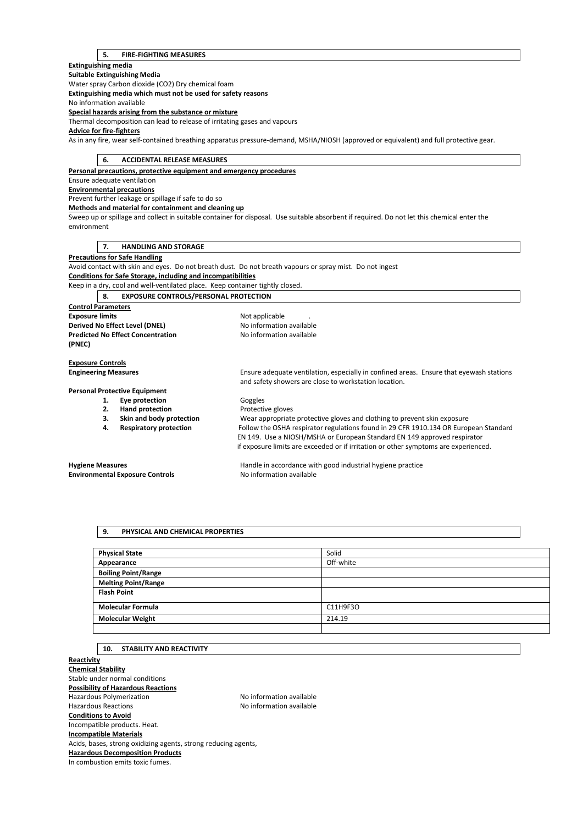### **5. FIRE-FIGHTING MEASURES**

**Extinguishing media** 

**Suitable Extinguishing Media**  Water spray Carbon dioxide (CO2) Dry chemical foam **Extinguishing media which must not be used for safety reasons**  No information available **Special hazards arising from the substance or mixture**  Thermal decomposition can lead to release of irritating gases and vapours **Advice for fire-fighters**  As in any fire, wear self-contained breathing apparatus pressure-demand, MSHA/NIOSH (approved or equivalent) and full protective gear.

## **6. ACCIDENTAL RELEASE MEASURES**

**Personal precautions, protective equipment and emergency procedures** 

Ensure adequate ventilation **Environmental precautions** 

Prevent further leakage or spillage if safe to do so

**Methods and material for containment and cleaning up** 

Sweep up or spillage and collect in suitable container for disposal. Use suitable absorbent if required. Do not let this chemical enter the environment

### **7. HANDLING AND STORAGE**

**Precautions for Safe Handling** 

Avoid contact with skin and eyes. Do not breath dust. Do not breath vapours or spray mist. Do not ingest

**Conditions for Safe Storage, including and incompatibilities** 

Keep in a dry, cool and well-ventilated place. Keep container tightly closed.

**8. EXPOSURE CONTROLS/PERSONAL PROTECTION** 

**Control Parameters Exposure limits Exposure limits Not applicable Derived No Effect Level (DNEL)** No information available **Predicted No Effect Concentration** No information available **(PNEC)** 

**Exposure Controls** 

**Engineering Measures** Ensure adequate ventilation, especially in confined areas. Ensure that eyewash stations

**Personal Protective Equipment** 

- 1. **Eye protection Goggles**
- **2. Hand protection Protective gloves**
- 
- 
- **3. Skin and body protection** Wear appropriate protective gloves and clothing to prevent skin exposure **4. Respiratory protection** Follow the OSHA respirator regulations found in 29 CFR 1910.134 OR European Standard EN 149. Use a NIOSH/MSHA or European Standard EN 149 approved respirator if exposure limits are exceeded or if irritation or other symptoms are experienced.

**Environmental Exposure Controls No information available** 

**Hygiene Measures** Handle in accordance with good industrial hygiene practice

and safety showers are close to workstation location.

# **9. PHYSICAL AND CHEMICAL PROPERTIES**

| <b>Physical State</b>      | Solid     |
|----------------------------|-----------|
| Appearance                 | Off-white |
| <b>Boiling Point/Range</b> |           |
| <b>Melting Point/Range</b> |           |
| <b>Flash Point</b>         |           |
|                            |           |
| <b>Molecular Formula</b>   | C11H9F3O  |
| <b>Molecular Weight</b>    | 214.19    |
|                            |           |

## **10. STABILITY AND REACTIVITY**

**Reactivity Chemical Stability**  Stable under normal conditions **Possibility of Hazardous Reactions**  Hazardous Polymerization available No information available Hazardous Reactions **No information available Conditions to Avoid**  Incompatible products. Heat. **Incompatible Materials**  Acids, bases, strong oxidizing agents, strong reducing agents, **Hazardous Decomposition Products**  In combustion emits toxic fumes.